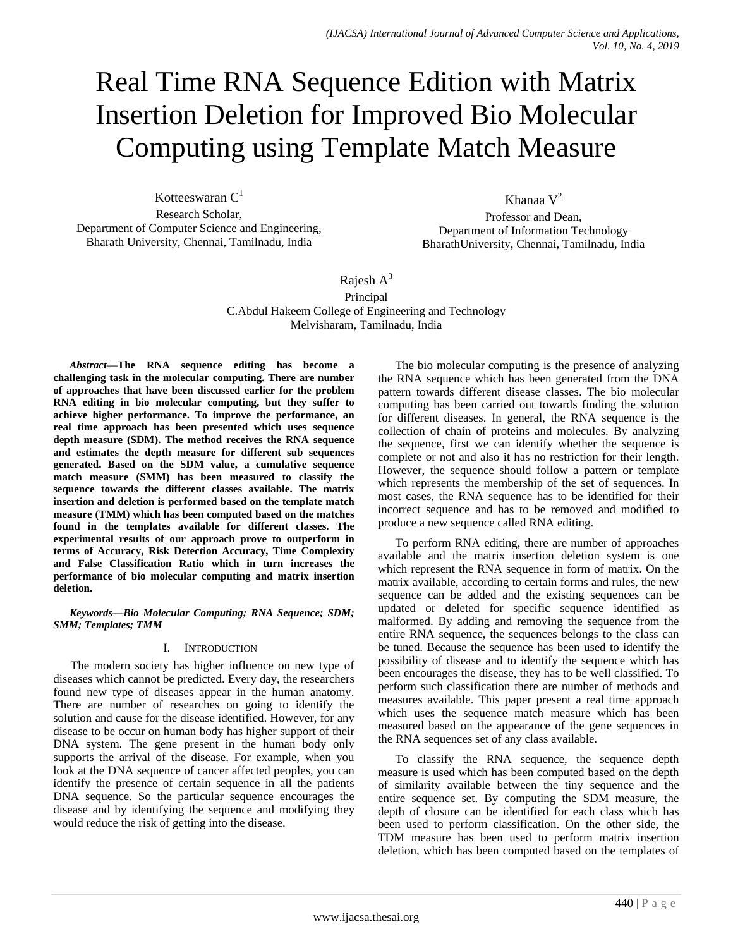# Real Time RNA Sequence Edition with Matrix Insertion Deletion for Improved Bio Molecular Computing using Template Match Measure

Kotteeswaran  $C<sup>1</sup>$ Research Scholar, Department of Computer Science and Engineering, Bharath University, Chennai, Tamilnadu, India

Khanaa  $V^2$ Professor and Dean, Department of Information Technology BharathUniversity, Chennai, Tamilnadu, India

## Rajesh  $A^3$ Principal C.Abdul Hakeem College of Engineering and Technology Melvisharam, Tamilnadu, India

*Abstract***—The RNA sequence editing has become a challenging task in the molecular computing. There are number of approaches that have been discussed earlier for the problem RNA editing in bio molecular computing, but they suffer to achieve higher performance. To improve the performance, an real time approach has been presented which uses sequence depth measure (SDM). The method receives the RNA sequence and estimates the depth measure for different sub sequences generated. Based on the SDM value, a cumulative sequence match measure (SMM) has been measured to classify the sequence towards the different classes available. The matrix insertion and deletion is performed based on the template match measure (TMM) which has been computed based on the matches found in the templates available for different classes. The experimental results of our approach prove to outperform in terms of Accuracy, Risk Detection Accuracy, Time Complexity and False Classification Ratio which in turn increases the performance of bio molecular computing and matrix insertion deletion.**

#### *Keywords—Bio Molecular Computing; RNA Sequence; SDM; SMM; Templates; TMM*

## I. INTRODUCTION

The modern society has higher influence on new type of diseases which cannot be predicted. Every day, the researchers found new type of diseases appear in the human anatomy. There are number of researches on going to identify the solution and cause for the disease identified. However, for any disease to be occur on human body has higher support of their DNA system. The gene present in the human body only supports the arrival of the disease. For example, when you look at the DNA sequence of cancer affected peoples, you can identify the presence of certain sequence in all the patients DNA sequence. So the particular sequence encourages the disease and by identifying the sequence and modifying they would reduce the risk of getting into the disease.

The bio molecular computing is the presence of analyzing the RNA sequence which has been generated from the DNA pattern towards different disease classes. The bio molecular computing has been carried out towards finding the solution for different diseases. In general, the RNA sequence is the collection of chain of proteins and molecules. By analyzing the sequence, first we can identify whether the sequence is complete or not and also it has no restriction for their length. However, the sequence should follow a pattern or template which represents the membership of the set of sequences. In most cases, the RNA sequence has to be identified for their incorrect sequence and has to be removed and modified to produce a new sequence called RNA editing.

To perform RNA editing, there are number of approaches available and the matrix insertion deletion system is one which represent the RNA sequence in form of matrix. On the matrix available, according to certain forms and rules, the new sequence can be added and the existing sequences can be updated or deleted for specific sequence identified as malformed. By adding and removing the sequence from the entire RNA sequence, the sequences belongs to the class can be tuned. Because the sequence has been used to identify the possibility of disease and to identify the sequence which has been encourages the disease, they has to be well classified. To perform such classification there are number of methods and measures available. This paper present a real time approach which uses the sequence match measure which has been measured based on the appearance of the gene sequences in the RNA sequences set of any class available.

To classify the RNA sequence, the sequence depth measure is used which has been computed based on the depth of similarity available between the tiny sequence and the entire sequence set. By computing the SDM measure, the depth of closure can be identified for each class which has been used to perform classification. On the other side, the TDM measure has been used to perform matrix insertion deletion, which has been computed based on the templates of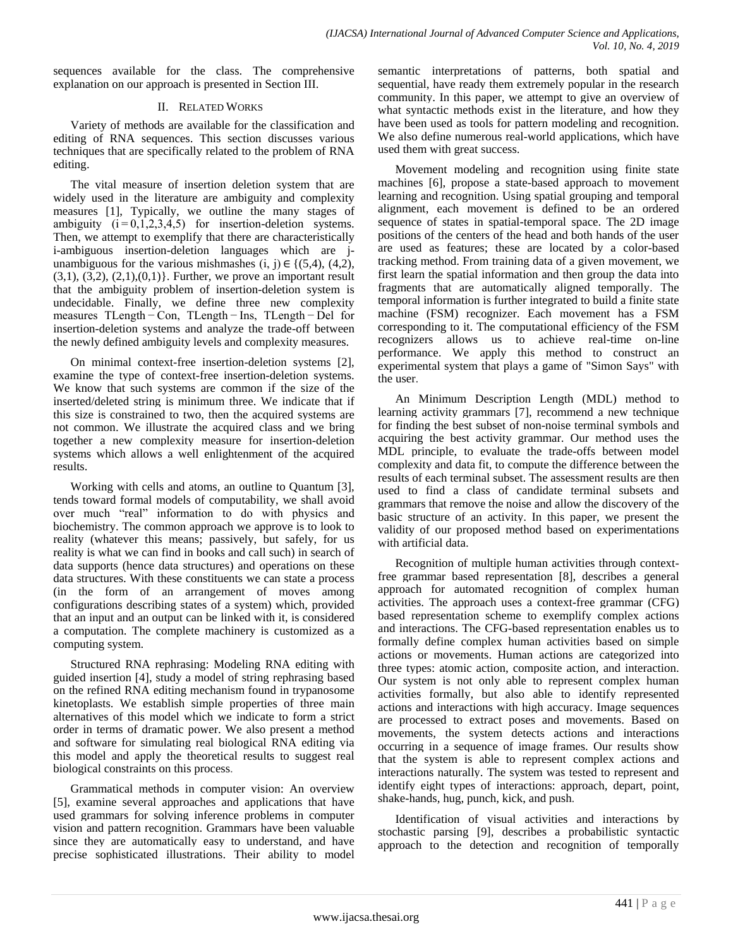sequences available for the class. The comprehensive explanation on our approach is presented in Section III.

## II. RELATED WORKS

Variety of methods are available for the classification and editing of RNA sequences. This section discusses various techniques that are specifically related to the problem of RNA editing.

The vital measure of insertion deletion system that are widely used in the literature are ambiguity and complexity measures [1], Typically, we outline the many stages of ambiguity  $(i=0,1,2,3,4,5)$  for insertion-deletion systems. Then, we attempt to exemplify that there are characteristically i-ambiguous insertion-deletion languages which are junambiguous for the various mishmashes  $(i, j) \in \{(5, 4), (4, 2),$  $(3,1), (3,2), (2,1), (0,1)$ . Further, we prove an important result that the ambiguity problem of insertion-deletion system is undecidable. Finally, we define three new complexity measures TLength − Con, TLength − Ins, TLength − Del for insertion-deletion systems and analyze the trade-off between the newly defined ambiguity levels and complexity measures.

On minimal context-free insertion-deletion systems [2], examine the type of context-free insertion-deletion systems. We know that such systems are common if the size of the inserted/deleted string is minimum three. We indicate that if this size is constrained to two, then the acquired systems are not common. We illustrate the acquired class and we bring together a new complexity measure for insertion-deletion systems which allows a well enlightenment of the acquired results.

Working with cells and atoms, an outline to Quantum [3], tends toward formal models of computability, we shall avoid over much "real" information to do with physics and biochemistry. The common approach we approve is to look to reality (whatever this means; passively, but safely, for us reality is what we can find in books and call such) in search of data supports (hence data structures) and operations on these data structures. With these constituents we can state a process (in the form of an arrangement of moves among configurations describing states of a system) which, provided that an input and an output can be linked with it, is considered a computation. The complete machinery is customized as a computing system.

Structured RNA rephrasing: Modeling RNA editing with guided insertion [4], study a model of string rephrasing based on the refined RNA editing mechanism found in trypanosome kinetoplasts. We establish simple properties of three main alternatives of this model which we indicate to form a strict order in terms of dramatic power. We also present a method and software for simulating real biological RNA editing via this model and apply the theoretical results to suggest real biological constraints on this process.

Grammatical methods in computer vision: An overview [5], examine several approaches and applications that have used grammars for solving inference problems in computer vision and pattern recognition. Grammars have been valuable since they are automatically easy to understand, and have precise sophisticated illustrations. Their ability to model semantic interpretations of patterns, both spatial and sequential, have ready them extremely popular in the research community. In this paper, we attempt to give an overview of what syntactic methods exist in the literature, and how they have been used as tools for pattern modeling and recognition. We also define numerous real-world applications, which have used them with great success.

Movement modeling and recognition using finite state machines [6], propose a state-based approach to movement learning and recognition. Using spatial grouping and temporal alignment, each movement is defined to be an ordered sequence of states in spatial-temporal space. The 2D image positions of the centers of the head and both hands of the user are used as features; these are located by a color-based tracking method. From training data of a given movement, we first learn the spatial information and then group the data into fragments that are automatically aligned temporally. The temporal information is further integrated to build a finite state machine (FSM) recognizer. Each movement has a FSM corresponding to it. The computational efficiency of the FSM recognizers allows us to achieve real-time on-line performance. We apply this method to construct an experimental system that plays a game of "Simon Says" with the user.

An Minimum Description Length (MDL) method to learning activity grammars [7], recommend a new technique for finding the best subset of non-noise terminal symbols and acquiring the best activity grammar. Our method uses the MDL principle, to evaluate the trade-offs between model complexity and data fit, to compute the difference between the results of each terminal subset. The assessment results are then used to find a class of candidate terminal subsets and grammars that remove the noise and allow the discovery of the basic structure of an activity. In this paper, we present the validity of our proposed method based on experimentations with artificial data.

Recognition of multiple human activities through contextfree grammar based representation [8], describes a general approach for automated recognition of complex human activities. The approach uses a context-free grammar (CFG) based representation scheme to exemplify complex actions and interactions. The CFG-based representation enables us to formally define complex human activities based on simple actions or movements. Human actions are categorized into three types: atomic action, composite action, and interaction. Our system is not only able to represent complex human activities formally, but also able to identify represented actions and interactions with high accuracy. Image sequences are processed to extract poses and movements. Based on movements, the system detects actions and interactions occurring in a sequence of image frames. Our results show that the system is able to represent complex actions and interactions naturally. The system was tested to represent and identify eight types of interactions: approach, depart, point, shake-hands, hug, punch, kick, and push.

Identification of visual activities and interactions by stochastic parsing [9], describes a probabilistic syntactic approach to the detection and recognition of temporally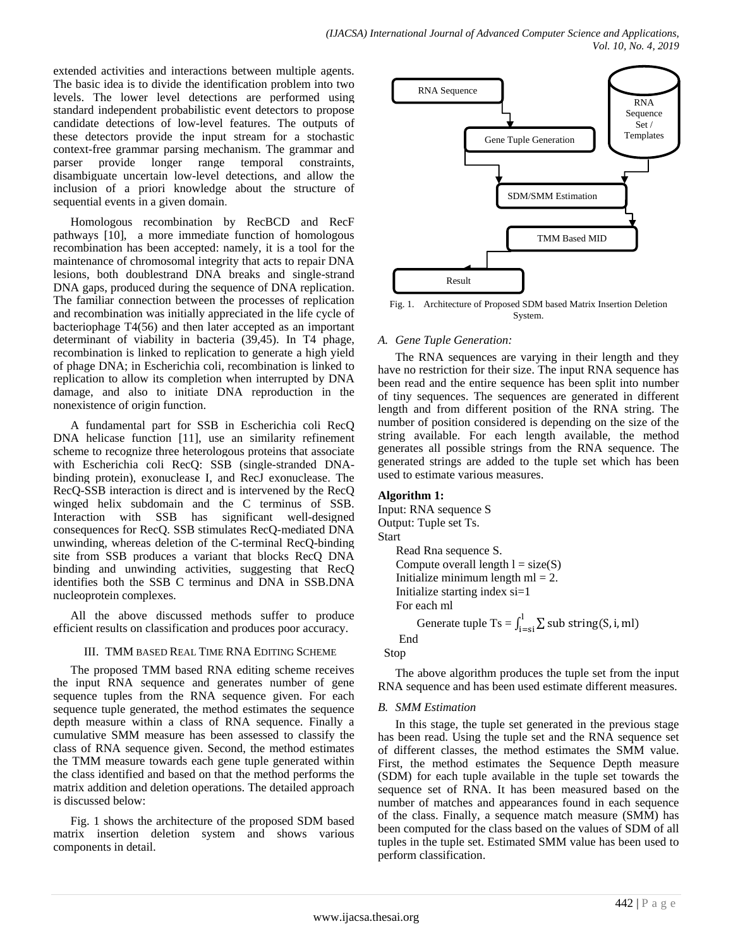extended activities and interactions between multiple agents. The basic idea is to divide the identification problem into two levels. The lower level detections are performed using standard independent probabilistic event detectors to propose candidate detections of low-level features. The outputs of these detectors provide the input stream for a stochastic context-free grammar parsing mechanism. The grammar and parser provide longer range temporal constraints, disambiguate uncertain low-level detections, and allow the inclusion of a priori knowledge about the structure of sequential events in a given domain.

Homologous recombination by RecBCD and RecF pathways [10], a more immediate function of homologous recombination has been accepted: namely, it is a tool for the maintenance of chromosomal integrity that acts to repair DNA lesions, both doublestrand DNA breaks and single-strand DNA gaps, produced during the sequence of DNA replication. The familiar connection between the processes of replication and recombination was initially appreciated in the life cycle of bacteriophage T4(56) and then later accepted as an important determinant of viability in bacteria (39,45). In T4 phage, recombination is linked to replication to generate a high yield of phage DNA; in Escherichia coli, recombination is linked to replication to allow its completion when interrupted by DNA damage, and also to initiate DNA reproduction in the nonexistence of origin function.

A fundamental part for SSB in Escherichia coli RecQ DNA helicase function [11], use an similarity refinement scheme to recognize three heterologous proteins that associate with Escherichia coli RecQ: SSB (single-stranded DNAbinding protein), exonuclease I, and RecJ exonuclease. The RecQ-SSB interaction is direct and is intervened by the RecQ winged helix subdomain and the C terminus of SSB. Interaction with SSB has significant well-designed consequences for RecQ. SSB stimulates RecQ-mediated DNA unwinding, whereas deletion of the C-terminal RecQ-binding site from SSB produces a variant that blocks RecQ DNA binding and unwinding activities, suggesting that RecQ identifies both the SSB C terminus and DNA in SSB.DNA nucleoprotein complexes.

All the above discussed methods suffer to produce efficient results on classification and produces poor accuracy.

## III. TMM BASED REAL TIME RNA EDITING SCHEME

The proposed TMM based RNA editing scheme receives the input RNA sequence and generates number of gene sequence tuples from the RNA sequence given. For each sequence tuple generated, the method estimates the sequence depth measure within a class of RNA sequence. Finally a cumulative SMM measure has been assessed to classify the class of RNA sequence given. Second, the method estimates the TMM measure towards each gene tuple generated within the class identified and based on that the method performs the matrix addition and deletion operations. The detailed approach is discussed below:

Fig. 1 shows the architecture of the proposed SDM based matrix insertion deletion system and shows various components in detail.



Fig. 1. Architecture of Proposed SDM based Matrix Insertion Deletion System.

#### *A. Gene Tuple Generation:*

The RNA sequences are varying in their length and they have no restriction for their size. The input RNA sequence has been read and the entire sequence has been split into number of tiny sequences. The sequences are generated in different length and from different position of the RNA string. The number of position considered is depending on the size of the string available. For each length available, the method generates all possible strings from the RNA sequence. The generated strings are added to the tuple set which has been used to estimate various measures.

## **Algorithm 1:**

```
Input: RNA sequence S
Output: Tuple set Ts.
Start
    Read Rna sequence S.
   Compute overall length l = size(S)Initialize minimum length ml = 2.
    Initialize starting index si=1
    For each ml
Generate tuple Ts = \int_{i-s_i}^{1} \sum si
     End
```
Stop

The above algorithm produces the tuple set from the input RNA sequence and has been used estimate different measures.

## *B. SMM Estimation*

In this stage, the tuple set generated in the previous stage has been read. Using the tuple set and the RNA sequence set of different classes, the method estimates the SMM value. First, the method estimates the Sequence Depth measure (SDM) for each tuple available in the tuple set towards the sequence set of RNA. It has been measured based on the number of matches and appearances found in each sequence of the class. Finally, a sequence match measure (SMM) has been computed for the class based on the values of SDM of all tuples in the tuple set. Estimated SMM value has been used to perform classification.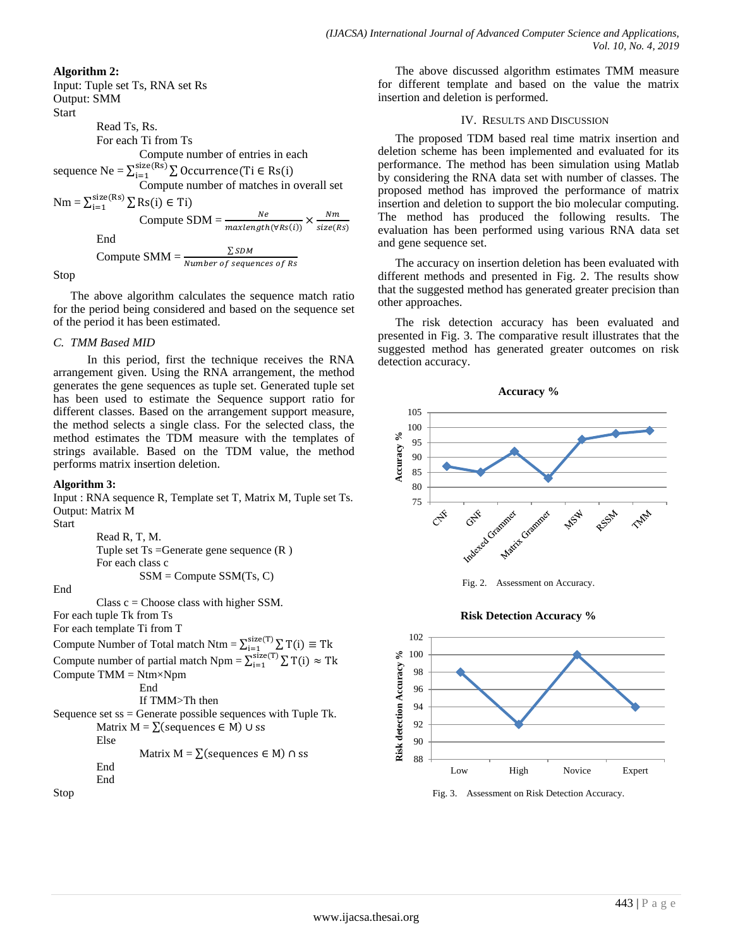#### **Algorithm 2:** Input: Tuple set Ts, RNA set Rs Output: SMM **Start** Read Ts, Rs. For each Ti from Ts Compute number of entries in each sequence Ne =  $\sum_{i=1}^{size(Rs)}\sum$  Occurrence(Ti ∈ R i Compute number of matches in overall set  $Nm = \sum_{i=1}^{size(Rs)} \sum RS(i) \in T$ i  $N\boldsymbol{e}$  $\sqrt{N}m$ Compute SDM  $=\frac{1}{m}$  $\times$  -End Compute SMM =  $\frac{\sum S}{Number~of~se}$

Stop

The above algorithm calculates the sequence match ratio for the period being considered and based on the sequence set of the period it has been estimated.

#### *C. TMM Based MID*

In this period, first the technique receives the RNA arrangement given. Using the RNA arrangement, the method generates the gene sequences as tuple set. Generated tuple set has been used to estimate the Sequence support ratio for different classes. Based on the arrangement support measure, the method selects a single class. For the selected class, the method estimates the TDM measure with the templates of strings available. Based on the TDM value, the method performs matrix insertion deletion.

#### **Algorithm 3:**

Input : RNA sequence R, Template set T, Matrix M, Tuple set Ts. Output: Matrix M Start

Read R, T, M. Tuple set Ts =Generate gene sequence (R ) For each class c  $SSM = Compute SSM(Ts, C)$ 

End

Class  $c =$  Choose class with higher SSM.

For each tuple Tk from Ts

- For each template Ti from T
- Compute Number of Total match Ntm =  $\sum_{i=1}^{size(1)} \sum T$
- Compute number of partial match Npm =  $\sum_{i=1}^{size(1)} \sum T$ Compute TMM = Ntm×Npm

End

If TMM>Th then Sequence set  $ss =$ Generate possible sequences with Tuple Tk. Matrix  $M = \sum$  (sequences  $\in M$ ) ∪ ss Else Matrix  $M = \sum$  (sequences  $\in M$ )  $\cap$  ss End End

Stop

The above discussed algorithm estimates TMM measure for different template and based on the value the matrix insertion and deletion is performed.

#### IV. RESULTS AND DISCUSSION

The proposed TDM based real time matrix insertion and deletion scheme has been implemented and evaluated for its performance. The method has been simulation using Matlab by considering the RNA data set with number of classes. The proposed method has improved the performance of matrix insertion and deletion to support the bio molecular computing. The method has produced the following results. The evaluation has been performed using various RNA data set and gene sequence set.

The accuracy on insertion deletion has been evaluated with different methods and presented in Fig. 2. The results show that the suggested method has generated greater precision than other approaches.

The risk detection accuracy has been evaluated and presented in Fig. 3. The comparative result illustrates that the suggested method has generated greater outcomes on risk detection accuracy.